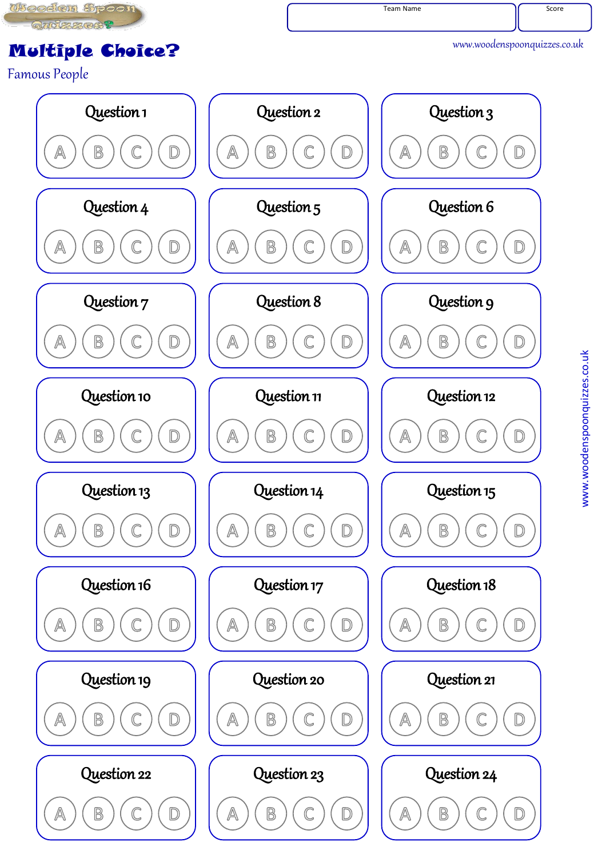

## Multiple Choice?

Famous People

www.woodenspoonquizzes.co.uk

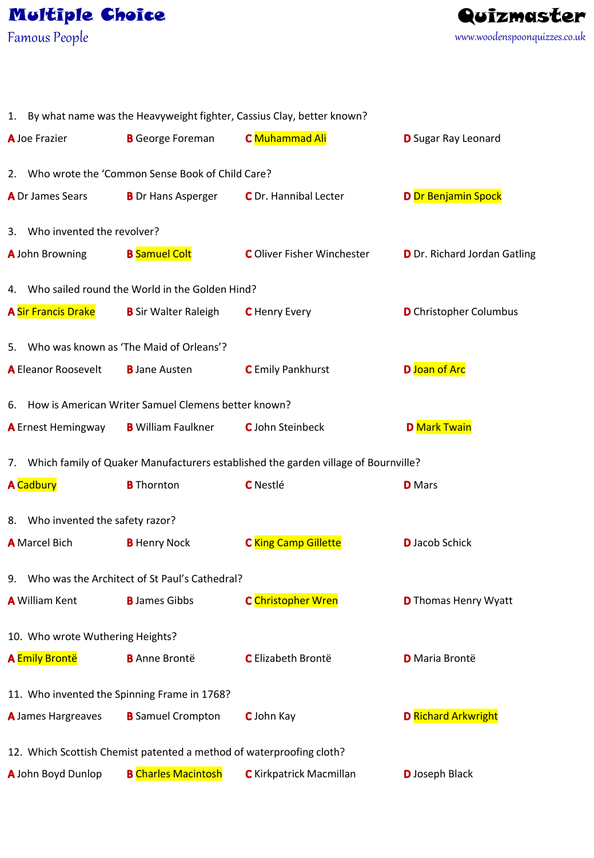Famous People



| 1. By what name was the Heavyweight fighter, Cassius Clay, better known?              |                                                     |                                   |                               |  |
|---------------------------------------------------------------------------------------|-----------------------------------------------------|-----------------------------------|-------------------------------|--|
| <b>A</b> Joe Frazier                                                                  | <b>B</b> George Foreman                             | C Muhammad Ali                    | <b>D</b> Sugar Ray Leonard    |  |
| 2. Who wrote the 'Common Sense Book of Child Care?                                    |                                                     |                                   |                               |  |
| A Dr James Sears                                                                      | <b>B</b> Dr Hans Asperger                           | C Dr. Hannibal Lecter             | <b>D</b> Dr Benjamin Spock    |  |
| 3. Who invented the revolver?                                                         |                                                     |                                   |                               |  |
| <b>A</b> John Browning                                                                | <b>B</b> Samuel Colt                                | <b>C</b> Oliver Fisher Winchester | D Dr. Richard Jordan Gatling  |  |
| 4. Who sailed round the World in the Golden Hind?                                     |                                                     |                                   |                               |  |
| <b>A Sir Francis Drake</b>                                                            | <b>B</b> Sir Walter Raleigh                         | <b>C</b> Henry Every              | <b>D</b> Christopher Columbus |  |
| 5. Who was known as 'The Maid of Orleans'?                                            |                                                     |                                   |                               |  |
| A Eleanor Roosevelt                                                                   | <b>B</b> Jane Austen                                | <b>C</b> Emily Pankhurst          | D Joan of Arc                 |  |
| 6. How is American Writer Samuel Clemens better known?                                |                                                     |                                   |                               |  |
|                                                                                       | <b>A</b> Ernest Hemingway <b>B</b> William Faulkner | <b>C</b> John Steinbeck           | <b>D</b> Mark Twain           |  |
| 7. Which family of Quaker Manufacturers established the garden village of Bournville? |                                                     |                                   |                               |  |
| <b>A</b> Cadbury                                                                      | <b>B</b> Thornton                                   | <b>C</b> Nestlé                   | <b>D</b> Mars                 |  |
| 8. Who invented the safety razor?                                                     |                                                     |                                   |                               |  |
| <b>A</b> Marcel Bich                                                                  | <b>B</b> Henry Nock                                 | <b>C</b> King Camp Gillette       | <b>D</b> Jacob Schick         |  |
| 9. Who was the Architect of St Paul's Cathedral?                                      |                                                     |                                   |                               |  |
| <b>A</b> William Kent                                                                 | <b>B</b> James Gibbs                                | C Christopher Wren                | <b>D</b> Thomas Henry Wyatt   |  |
| 10. Who wrote Wuthering Heights?                                                      |                                                     |                                   |                               |  |
| <b>A Emily Brontë</b>                                                                 | <b>B</b> Anne Brontë                                | C Elizabeth Brontë                | <b>D</b> Maria Brontë         |  |
| 11. Who invented the Spinning Frame in 1768?                                          |                                                     |                                   |                               |  |
| A James Hargreaves                                                                    | <b>B</b> Samuel Crompton                            | C John Kay                        | <b>D</b> Richard Arkwright    |  |
| 12. Which Scottish Chemist patented a method of waterproofing cloth?                  |                                                     |                                   |                               |  |
| A John Boyd Dunlop                                                                    | <b>B</b> Charles Macintosh                          | <b>C</b> Kirkpatrick Macmillan    | <b>D</b> Joseph Black         |  |